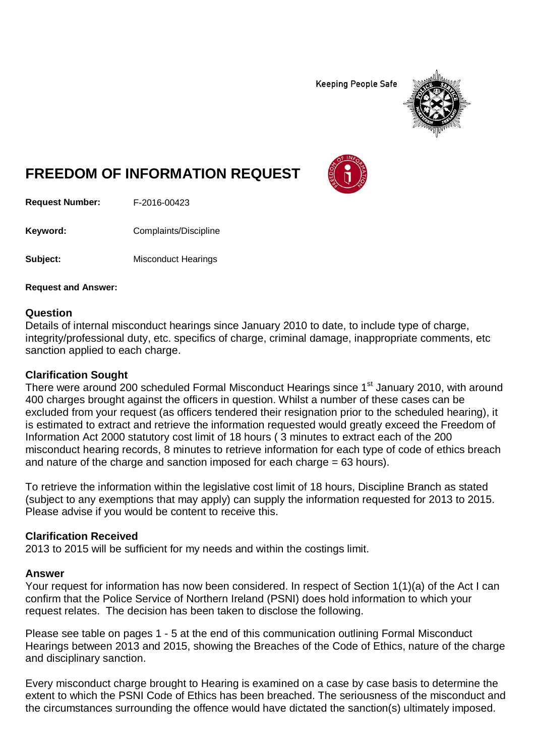**Keeping People Safe** 



# **FREEDOM OF INFORMATION REQUEST**

**Request Number:** F-2016-00423

Keyword: Complaints/Discipline

**Subject:** Misconduct Hearings

**Request and Answer:**

#### **Question**

Details of internal misconduct hearings since January 2010 to date, to include type of charge, integrity/professional duty, etc. specifics of charge, criminal damage, inappropriate comments, etc sanction applied to each charge.

#### **Clarification Sought**

There were around 200 scheduled Formal Misconduct Hearings since 1<sup>st</sup> January 2010, with around 400 charges brought against the officers in question. Whilst a number of these cases can be excluded from your request (as officers tendered their resignation prior to the scheduled hearing), it is estimated to extract and retrieve the information requested would greatly exceed the Freedom of Information Act 2000 statutory cost limit of 18 hours ( 3 minutes to extract each of the 200 misconduct hearing records, 8 minutes to retrieve information for each type of code of ethics breach and nature of the charge and sanction imposed for each charge = 63 hours).

To retrieve the information within the legislative cost limit of 18 hours, Discipline Branch as stated (subject to any exemptions that may apply) can supply the information requested for 2013 to 2015. Please advise if you would be content to receive this.

#### **Clarification Received**

2013 to 2015 will be sufficient for my needs and within the costings limit.

#### **Answer**

Your request for information has now been considered. In respect of Section 1(1)(a) of the Act I can confirm that the Police Service of Northern Ireland (PSNI) does hold information to which your request relates. The decision has been taken to disclose the following.

Please see table on pages 1 - 5 at the end of this communication outlining Formal Misconduct Hearings between 2013 and 2015, showing the Breaches of the Code of Ethics, nature of the charge and disciplinary sanction.

Every misconduct charge brought to Hearing is examined on a case by case basis to determine the extent to which the PSNI Code of Ethics has been breached. The seriousness of the misconduct and the circumstances surrounding the offence would have dictated the sanction(s) ultimately imposed.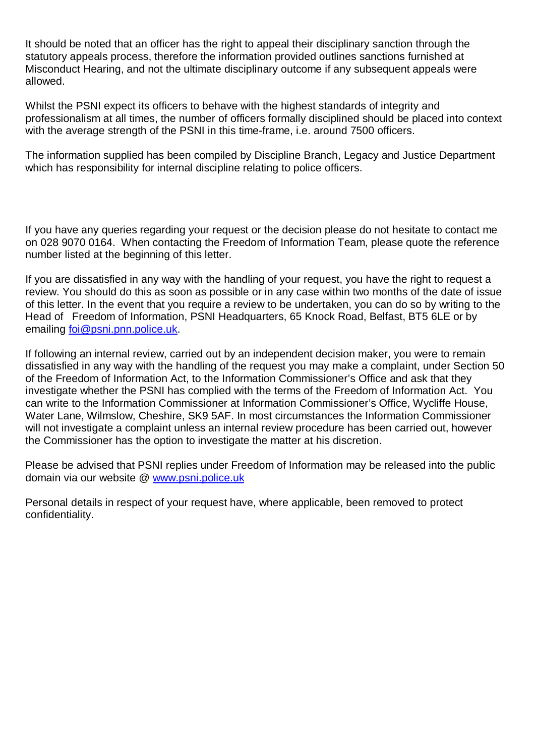It should be noted that an officer has the right to appeal their disciplinary sanction through the statutory appeals process, therefore the information provided outlines sanctions furnished at Misconduct Hearing, and not the ultimate disciplinary outcome if any subsequent appeals were allowed.

Whilst the PSNI expect its officers to behave with the highest standards of integrity and professionalism at all times, the number of officers formally disciplined should be placed into context with the average strength of the PSNI in this time-frame, i.e. around 7500 officers.

The information supplied has been compiled by Discipline Branch, Legacy and Justice Department which has responsibility for internal discipline relating to police officers.

If you have any queries regarding your request or the decision please do not hesitate to contact me on 028 9070 0164. When contacting the Freedom of Information Team, please quote the reference number listed at the beginning of this letter.

If you are dissatisfied in any way with the handling of your request, you have the right to request a review. You should do this as soon as possible or in any case within two months of the date of issue of this letter. In the event that you require a review to be undertaken, you can do so by writing to the Head of Freedom of Information, PSNI Headquarters, 65 Knock Road, Belfast, BT5 6LE or by emailing [foi@psni.pnn.police.uk.](mailto:foi@psni.pnn.police.uk)

If following an internal review, carried out by an independent decision maker, you were to remain dissatisfied in any way with the handling of the request you may make a complaint, under Section 50 of the Freedom of Information Act, to the Information Commissioner's Office and ask that they investigate whether the PSNI has complied with the terms of the Freedom of Information Act. You can write to the Information Commissioner at Information Commissioner's Office, Wycliffe House, Water Lane, Wilmslow, Cheshire, SK9 5AF. In most circumstances the Information Commissioner will not investigate a complaint unless an internal review procedure has been carried out, however the Commissioner has the option to investigate the matter at his discretion.

Please be advised that PSNI replies under Freedom of Information may be released into the public domain via our website @ [www.psni.police.uk](http://www.psni.police.uk/)

Personal details in respect of your request have, where applicable, been removed to protect confidentiality.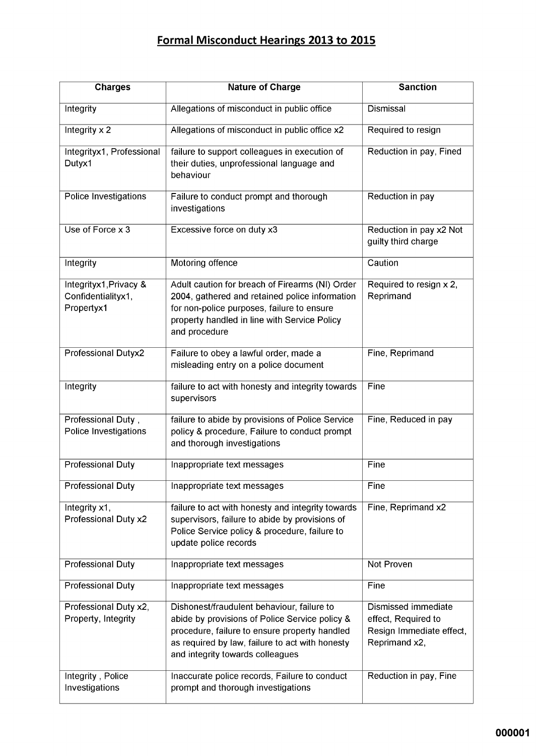| <b>Charges</b>                                             | <b>Nature of Charge</b>                                                                                                                                                                                                              | <b>Sanction</b>                                                                         |
|------------------------------------------------------------|--------------------------------------------------------------------------------------------------------------------------------------------------------------------------------------------------------------------------------------|-----------------------------------------------------------------------------------------|
| Integrity                                                  | Allegations of misconduct in public office                                                                                                                                                                                           | <b>Dismissal</b>                                                                        |
| Integrity x 2                                              | Allegations of misconduct in public office x2                                                                                                                                                                                        | Required to resign                                                                      |
| Integrityx1, Professional<br>Dutyx1                        | failure to support colleagues in execution of<br>their duties, unprofessional language and<br>behaviour                                                                                                                              | Reduction in pay, Fined                                                                 |
| Police Investigations                                      | Failure to conduct prompt and thorough<br>investigations                                                                                                                                                                             | Reduction in pay                                                                        |
| Use of Force x 3                                           | Excessive force on duty x3                                                                                                                                                                                                           | Reduction in pay x2 Not<br>guilty third charge                                          |
| Integrity                                                  | Motoring offence                                                                                                                                                                                                                     | Caution                                                                                 |
| Integrityx1, Privacy &<br>Confidentialityx1,<br>Propertyx1 | Adult caution for breach of Firearms (NI) Order<br>2004, gathered and retained police information<br>for non-police purposes, failure to ensure<br>property handled in line with Service Policy<br>and procedure                     | Required to resign $\times$ 2,<br>Reprimand                                             |
| <b>Professional Dutyx2</b>                                 | Failure to obey a lawful order, made a<br>misleading entry on a police document                                                                                                                                                      | Fine, Reprimand                                                                         |
| Integrity                                                  | failure to act with honesty and integrity towards<br>supervisors                                                                                                                                                                     | Fine                                                                                    |
| Professional Duty,<br>Police Investigations                | failure to abide by provisions of Police Service<br>policy & procedure, Failure to conduct prompt<br>and thorough investigations                                                                                                     | Fine, Reduced in pay                                                                    |
| <b>Professional Duty</b>                                   | Inappropriate text messages                                                                                                                                                                                                          | Fine                                                                                    |
| <b>Professional Duty</b>                                   | Inappropriate text messages                                                                                                                                                                                                          | Fine                                                                                    |
| Integrity x1,<br>Professional Duty x2                      | failure to act with honesty and integrity towards<br>supervisors, failure to abide by provisions of<br>Police Service policy & procedure, failure to<br>update police records                                                        | Fine, Reprimand x2                                                                      |
| <b>Professional Duty</b>                                   | Inappropriate text messages                                                                                                                                                                                                          | Not Proven                                                                              |
| <b>Professional Duty</b>                                   | Inappropriate text messages                                                                                                                                                                                                          | Fine                                                                                    |
| Professional Duty x2,<br>Property, Integrity               | Dishonest/fraudulent behaviour, failure to<br>abide by provisions of Police Service policy &<br>procedure, failure to ensure property handled<br>as required by law, failure to act with honesty<br>and integrity towards colleagues | Dismissed immediate<br>effect, Required to<br>Resign Immediate effect,<br>Reprimand x2, |
| Integrity, Police<br>Investigations                        | Inaccurate police records, Failure to conduct<br>prompt and thorough investigations                                                                                                                                                  | Reduction in pay, Fine                                                                  |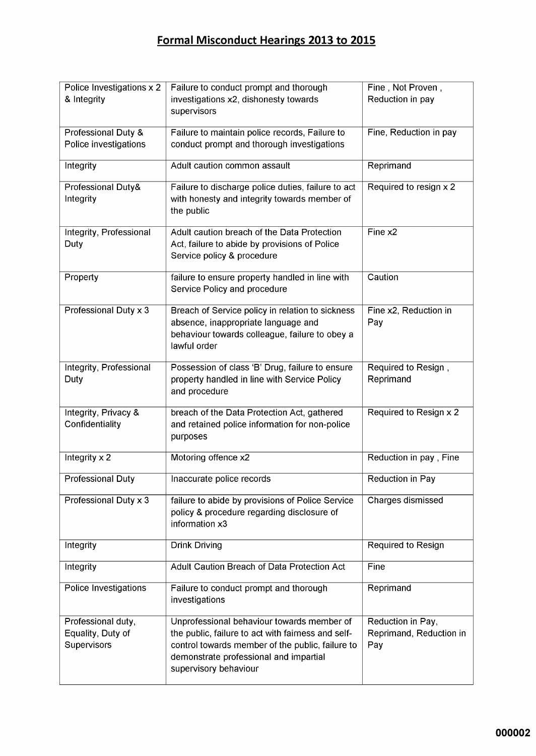| Police Investigations x 2 | Failure to conduct prompt and thorough             | Fine, Not Proven,         |
|---------------------------|----------------------------------------------------|---------------------------|
| & Integrity               | investigations x2, dishonesty towards              | Reduction in pay          |
|                           | supervisors                                        |                           |
|                           |                                                    |                           |
| Professional Duty &       | Failure to maintain police records, Failure to     | Fine, Reduction in pay    |
| Police investigations     | conduct prompt and thorough investigations         |                           |
|                           |                                                    |                           |
| Integrity                 | Adult caution common assault                       | Reprimand                 |
| Professional Duty&        | Failure to discharge police duties, failure to act | Required to resign x 2    |
| Integrity                 | with honesty and integrity towards member of       |                           |
|                           | the public                                         |                           |
|                           |                                                    |                           |
| Integrity, Professional   | Adult caution breach of the Data Protection        | Fine x2                   |
| Duty                      | Act, failure to abide by provisions of Police      |                           |
|                           | Service policy & procedure                         |                           |
|                           |                                                    |                           |
| Property                  | failure to ensure property handled in line with    | Caution                   |
|                           | Service Policy and procedure                       |                           |
|                           |                                                    |                           |
| Professional Duty x 3     | Breach of Service policy in relation to sickness   | Fine x2, Reduction in     |
|                           | absence, inappropriate language and                | Pay                       |
|                           | behaviour towards colleague, failure to obey a     |                           |
|                           | lawful order                                       |                           |
| Integrity, Professional   | Possession of class 'B' Drug, failure to ensure    | Required to Resign,       |
| Duty                      | property handled in line with Service Policy       | Reprimand                 |
|                           | and procedure                                      |                           |
|                           |                                                    |                           |
| Integrity, Privacy &      | breach of the Data Protection Act, gathered        | Required to Resign x 2    |
| Confidentiality           | and retained police information for non-police     |                           |
|                           | purposes                                           |                           |
|                           |                                                    |                           |
| Integrity $\times 2$      | Motoring offence x2                                | Reduction in pay, Fine    |
| <b>Professional Duty</b>  | Inaccurate police records                          | <b>Reduction in Pay</b>   |
|                           |                                                    |                           |
| Professional Duty x 3     | failure to abide by provisions of Police Service   | Charges dismissed         |
|                           | policy & procedure regarding disclosure of         |                           |
|                           | information x3                                     |                           |
|                           |                                                    |                           |
| Integrity                 | <b>Drink Driving</b>                               | <b>Required to Resign</b> |
| Integrity                 | Adult Caution Breach of Data Protection Act        | Fine                      |
|                           |                                                    |                           |
| Police Investigations     | Failure to conduct prompt and thorough             | Reprimand                 |
|                           | investigations                                     |                           |
|                           |                                                    |                           |
| Professional duty,        | Unprofessional behaviour towards member of         | Reduction in Pay,         |
| Equality, Duty of         | the public, failure to act with fairness and self- | Reprimand, Reduction in   |
| Supervisors               | control towards member of the public, failure to   | Pay                       |
|                           | demonstrate professional and impartial             |                           |
|                           | supervisory behaviour                              |                           |
|                           |                                                    |                           |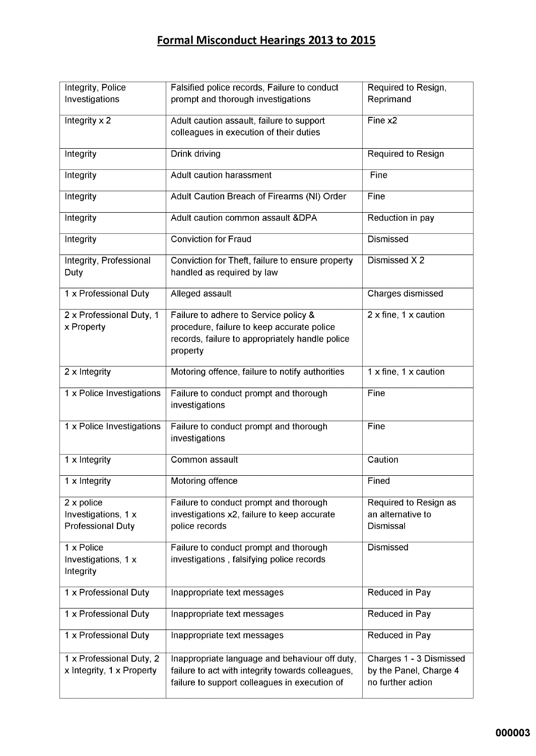| Integrity, Police                        | Falsified police records, Failure to conduct                                          | Required to Resign,                        |
|------------------------------------------|---------------------------------------------------------------------------------------|--------------------------------------------|
| Investigations                           | prompt and thorough investigations                                                    | Reprimand                                  |
|                                          |                                                                                       |                                            |
| Integrity x 2                            | Adult caution assault, failure to support                                             | Fine x2                                    |
|                                          | colleagues in execution of their duties                                               |                                            |
| Integrity                                | Drink driving                                                                         | Required to Resign                         |
|                                          |                                                                                       |                                            |
| Integrity                                | <b>Adult caution harassment</b>                                                       | Fine                                       |
| Integrity                                | Adult Caution Breach of Firearms (NI) Order                                           | Fine                                       |
|                                          |                                                                                       |                                            |
| Integrity                                | Adult caution common assault &DPA                                                     | Reduction in pay                           |
|                                          |                                                                                       |                                            |
| Integrity                                | <b>Conviction for Fraud</b>                                                           | <b>Dismissed</b>                           |
| Integrity, Professional                  | Conviction for Theft, failure to ensure property                                      | Dismissed X 2                              |
| Duty                                     | handled as required by law                                                            |                                            |
|                                          |                                                                                       |                                            |
| 1 x Professional Duty                    | Alleged assault                                                                       | Charges dismissed                          |
|                                          |                                                                                       |                                            |
| 2 x Professional Duty, 1                 | Failure to adhere to Service policy &                                                 | 2 x fine, 1 x caution                      |
| x Property                               | procedure, failure to keep accurate police                                            |                                            |
|                                          | records, failure to appropriately handle police                                       |                                            |
|                                          | property                                                                              |                                            |
| 2 x Integrity                            | Motoring offence, failure to notify authorities                                       | 1 x fine, 1 x caution                      |
|                                          |                                                                                       |                                            |
| 1 x Police Investigations                | Failure to conduct prompt and thorough                                                | Fine                                       |
|                                          | investigations                                                                        |                                            |
|                                          |                                                                                       |                                            |
| 1 x Police Investigations                | Failure to conduct prompt and thorough                                                | Fine                                       |
|                                          | investigations                                                                        |                                            |
| $1 \times$ Integrity                     | Common assault                                                                        | Caution                                    |
|                                          |                                                                                       |                                            |
| $1 \times$ Integrity                     | Motoring offence                                                                      | Fined                                      |
|                                          |                                                                                       |                                            |
| $2 \times$ police<br>Investigations, 1 x | Failure to conduct prompt and thorough<br>investigations x2, failure to keep accurate | Required to Resign as<br>an alternative to |
| <b>Professional Duty</b>                 | police records                                                                        | Dismissal                                  |
|                                          |                                                                                       |                                            |
| 1 x Police                               | Failure to conduct prompt and thorough                                                | <b>Dismissed</b>                           |
| Investigations, 1 x                      | investigations, falsifying police records                                             |                                            |
| Integrity                                |                                                                                       |                                            |
|                                          |                                                                                       |                                            |
| 1 x Professional Duty                    | Inappropriate text messages                                                           | Reduced in Pay                             |
| 1 x Professional Duty                    | Inappropriate text messages                                                           | Reduced in Pay                             |
|                                          |                                                                                       |                                            |
| 1 x Professional Duty                    | Inappropriate text messages                                                           | Reduced in Pay                             |
|                                          |                                                                                       |                                            |
| 1 x Professional Duty, 2                 | Inappropriate language and behaviour off duty,                                        | Charges 1 - 3 Dismissed                    |
| x Integrity, 1 x Property                | failure to act with integrity towards colleagues,                                     | by the Panel, Charge 4                     |
|                                          | failure to support colleagues in execution of                                         | no further action                          |
|                                          |                                                                                       |                                            |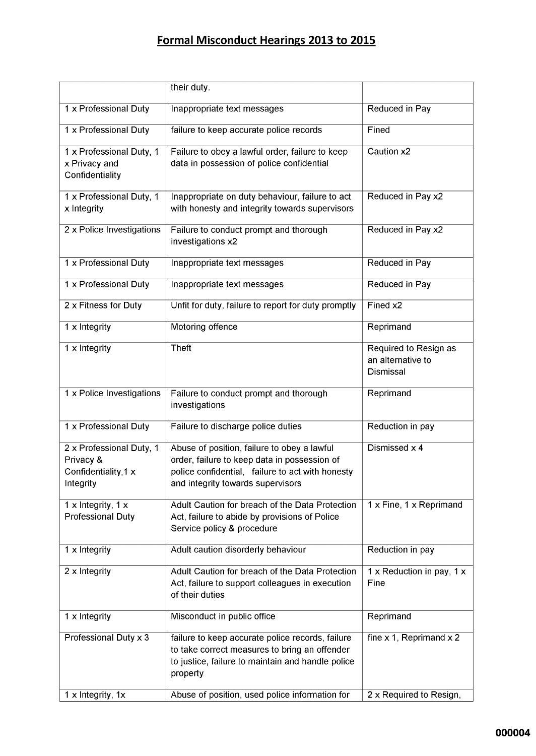|                                                                            | their duty.                                                                                                                                                                          |                                                         |
|----------------------------------------------------------------------------|--------------------------------------------------------------------------------------------------------------------------------------------------------------------------------------|---------------------------------------------------------|
| 1 x Professional Duty                                                      | Inappropriate text messages                                                                                                                                                          | Reduced in Pay                                          |
| 1 x Professional Duty                                                      | failure to keep accurate police records                                                                                                                                              | Fined                                                   |
| 1 x Professional Duty, 1<br>x Privacy and<br>Confidentiality               | Failure to obey a lawful order, failure to keep<br>data in possession of police confidential                                                                                         | Caution x2                                              |
| 1 x Professional Duty, 1<br>x Integrity                                    | Inappropriate on duty behaviour, failure to act<br>with honesty and integrity towards supervisors                                                                                    | Reduced in Pay x2                                       |
| 2 x Police Investigations                                                  | Failure to conduct prompt and thorough<br>investigations x2                                                                                                                          | Reduced in Pay x2                                       |
| 1 x Professional Duty                                                      | Inappropriate text messages                                                                                                                                                          | Reduced in Pay                                          |
| 1 x Professional Duty                                                      | Inappropriate text messages                                                                                                                                                          | Reduced in Pay                                          |
| 2 x Fitness for Duty                                                       | Unfit for duty, failure to report for duty promptly                                                                                                                                  | Fined x2                                                |
| $1 \times$ Integrity                                                       | Motoring offence                                                                                                                                                                     | Reprimand                                               |
| $1 \times$ Integrity                                                       | <b>Theft</b>                                                                                                                                                                         | Required to Resign as<br>an alternative to<br>Dismissal |
| 1 x Police Investigations                                                  | Failure to conduct prompt and thorough<br>investigations                                                                                                                             | Reprimand                                               |
| 1 x Professional Duty                                                      | Failure to discharge police duties                                                                                                                                                   | Reduction in pay                                        |
| 2 x Professional Duty, 1<br>Privacy &<br>Confidentiality, 1 x<br>Integrity | Abuse of position, failure to obey a lawful<br>order, failure to keep data in possession of<br>police confidential, failure to act with honesty<br>and integrity towards supervisors | Dismissed x 4                                           |
| 1 x Integrity, $1 x$<br><b>Professional Duty</b>                           | Adult Caution for breach of the Data Protection<br>Act, failure to abide by provisions of Police<br>Service policy & procedure                                                       | 1 x Fine, 1 x Reprimand                                 |
| $1 \times$ Integrity                                                       | Adult caution disorderly behaviour                                                                                                                                                   | Reduction in pay                                        |
| 2 x Integrity                                                              | Adult Caution for breach of the Data Protection<br>Act, failure to support colleagues in execution<br>of their duties                                                                | 1 x Reduction in pay, $1 \times$<br>Fine                |
| 1 x Integrity                                                              | Misconduct in public office                                                                                                                                                          | Reprimand                                               |
| Professional Duty x 3                                                      | failure to keep accurate police records, failure<br>to take correct measures to bring an offender<br>to justice, failure to maintain and handle police<br>property                   | fine $x$ 1, Reprimand $x$ 2                             |
| 1 x Integrity, 1x                                                          | Abuse of position, used police information for                                                                                                                                       | 2 x Required to Resign,                                 |